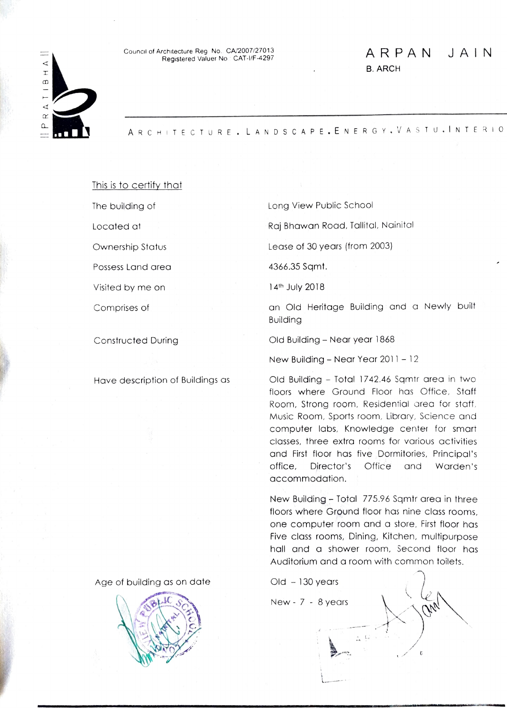## ◁  $\mathbf{r}$  $\Omega$  $\blacktriangleleft$  $\alpha$  $\Omega$

A RCHITECTURE.L ANDS CAPE.EN ERGY. VA STU.|NTE RIO

This is to certify that

Possess Land area 4366.35 Sqmt.

Visited by me on 14th July 2018

The building of **Long View Public School** 

Located at  $\overline{\phantom{a}}$  Raj Bhawan Road, Tallital, Nainital

Ownership Status Lease of 30 years (from 2003)

Comprises of an Old Heritage Building and a Newly built Building

ARPAN JAIN

B. ARCH

Constructed During Old Building - Near year 1868

New Building - Near Year  $2011 - 12$ 

Have description of Buildings as Cld Building - Total 1742.46 Sqmtr area in two floors where Ground Floor has Office, Staff Room, Strong room, Residential area for staff. Music Room, Sports room, Library, Science and computer labs, Knowledge center for smart classes, three extra rooms for various activities and First floor has five Dormitories, Principal's office, Director's Office and Warden's accommodation.

> New Building- Total 775.96 Sqmir area in three floors where Ground floor has nine class rooms one computer room and a store, First floor has Five class rooms, Dining, Kitchen, multipurpose hall and a shower room, Second floor has Auditorium and a room with common toilets.

 $New - 7 - 8 years$ 

Age of building as on date Old 130 years